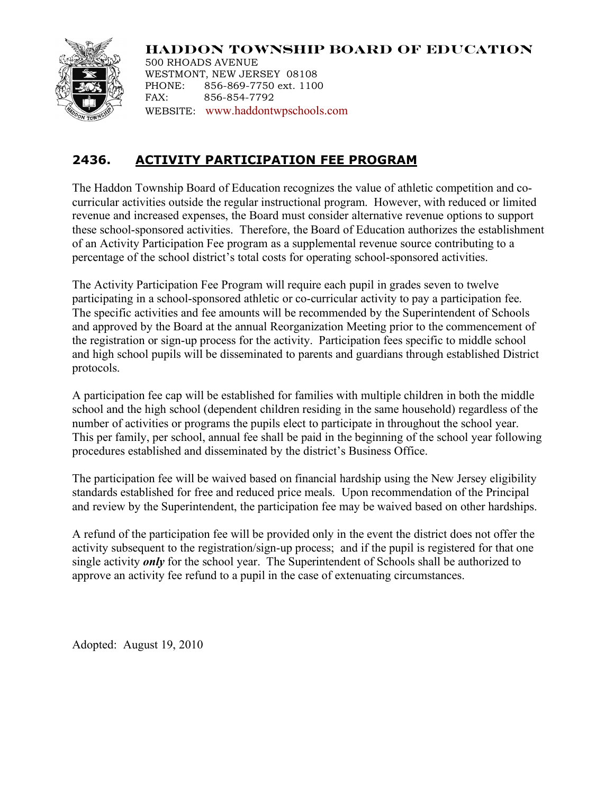

**HADDON TOWNSHIP BOARD OF EDUCATION** 500 RHOADS AVENUE WESTMONT, NEW JERSEY 08108 PHONE: 856-869-7750 ext. 1100 FAX: 856-854-7792 WEBSITE: www.haddontwpschools.com

# **2436. ACTIVITY PARTICIPATION FEE PROGRAM**

The Haddon Township Board of Education recognizes the value of athletic competition and cocurricular activities outside the regular instructional program. However, with reduced or limited revenue and increased expenses, the Board must consider alternative revenue options to support these school-sponsored activities. Therefore, the Board of Education authorizes the establishment of an Activity Participation Fee program as a supplemental revenue source contributing to a percentage of the school district's total costs for operating school-sponsored activities.

The Activity Participation Fee Program will require each pupil in grades seven to twelve participating in a school-sponsored athletic or co-curricular activity to pay a participation fee. The specific activities and fee amounts will be recommended by the Superintendent of Schools and approved by the Board at the annual Reorganization Meeting prior to the commencement of the registration or sign-up process for the activity. Participation fees specific to middle school and high school pupils will be disseminated to parents and guardians through established District protocols.

A participation fee cap will be established for families with multiple children in both the middle school and the high school (dependent children residing in the same household) regardless of the number of activities or programs the pupils elect to participate in throughout the school year. This per family, per school, annual fee shall be paid in the beginning of the school year following procedures established and disseminated by the district's Business Office.

The participation fee will be waived based on financial hardship using the New Jersey eligibility standards established for free and reduced price meals. Upon recommendation of the Principal and review by the Superintendent, the participation fee may be waived based on other hardships.

A refund of the participation fee will be provided only in the event the district does not offer the activity subsequent to the registration/sign-up process; and if the pupil is registered for that one single activity *only* for the school year. The Superintendent of Schools shall be authorized to approve an activity fee refund to a pupil in the case of extenuating circumstances.

Adopted: August 19, 2010